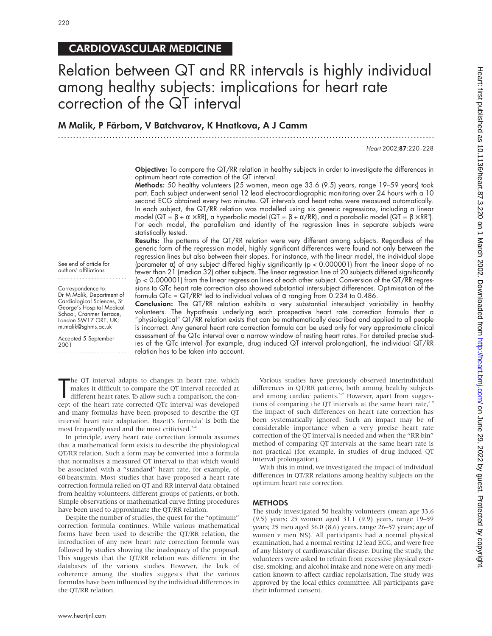## CARDIOVASCULAR MEDICINE

# Relation between QT and RR intervals is highly individual among healthy subjects: implications for heart rate correction of the QT interval

#### M Malik, P Färbom, V Batchvarov, K Hnatkova, A J Camm

.............................................................................................................................

Heart 2002;87:220–228

Objective: To compare the QT/RR relation in healthy subjects in order to investigate the differences in optimum heart rate correction of the QT interval.

Methods: 50 healthy volunteers (25 women, mean age 33.6 (9.5) years, range 19–59 years) took part. Each subject underwent serial 12 lead electrocardiographic monitoring over 24 hours with a 10 second ECG obtained every two minutes. QT intervals and heart rates were measured automatically. In each subject, the QT/RR relation was modelled using six generic regressions, including a linear model (QT = β + α × RR), a hyperbolic model (QT = β + α/RR), and a parabolic model (QT = β × RRª). For each model, the parallelism and identity of the regression lines in separate subjects were statistically tested.

Results: The patterns of the QT/RR relation were very different among subjects. Regardless of the generic form of the regression model, highly significant differences were found not only between the regression lines but also between their slopes. For instance, with the linear model, the individual slope (parameter  $\alpha$ ) of any subject differed highly significantly ( $p < 0.000001$ ) from the linear slope of no fewer than 21 (median 32) other subjects. The linear regression line of 20 subjects differed significantly (p < 0.000001) from the linear regression lines of each other subject. Conversion of the QT/RR regressions to QTc heart rate correction also showed substantial intersubject differences. Optimisation of the formula QTc = QT/RR<sup>α</sup> led to individual values of  $\alpha$  ranging from 0.234 to 0.486.

See end of article for authors' affiliations .......................

Correspondence to: Dr M Malik, Department of Cardiological Sciences, St George's Hospital Medical School, Cranmer Terrace, London SW17 ORE, UK; m.malik@sghms.ac.uk

Accepted 5 September 2001 .......................

Conclusion: The QT/RR relation exhibits a very substantial intersubject variability in healthy volunteers. The hypothesis underlying each prospective heart rate correction formula that a "physiological" QT/RR relation exists that can be mathematically described and applied to all people is incorrect. Any general heart rate correction formula can be used only for very approximate clinical assessment of the QTc interval over a narrow window of resting heart rates. For detailed precise studies of the QTc interval (for example, drug induced QT interval prolongation), the individual QT/RR relation has to be taken into account.

The QT interval adapts to changes in heart rate, which<br>makes it difficult to compare the QT interval recorded at<br>different heart rates. To allow such a comparison, the con-<br>cept of the heart rate corrected QTc interval was he QT interval adapts to changes in heart rate, which makes it difficult to compare the QT interval recorded at different heart rates. To allow such a comparison, the conand many formulas have been proposed to describe the QT interval heart rate adaptation. Bazett's formula<sup>1</sup> is both the most frequently used and the most criticised.<sup>2-4</sup>

In principle, every heart rate correction formula assumes that a mathematical form exists to describe the physiological QT/RR relation. Such a form may be converted into a formula that normalises a measured QT interval to that which would be associated with a "standard" heart rate, for example, of 60 beats/min. Most studies that have proposed a heart rate correction formula relied on QT and RR interval data obtained from healthy volunteers, different groups of patients, or both. Simple observations or mathematical curve fitting procedures have been used to approximate the QT/RR relation.

Despite the number of studies, the quest for the "optimum" correction formula continues. While various mathematical forms have been used to describe the QT/RR relation, the introduction of any new heart rate correction formula was followed by studies showing the inadequacy of the proposal. This suggests that the QT/RR relation was different in the databases of the various studies. However, the lack of coherence among the studies suggests that the various formulas have been influenced by the individual differences in the QT/RR relation.

Various studies have previously observed interindividual differences in QT/RR patterns, both among healthy subjects and among cardiac patients.<sup>5-7</sup> However, apart from suggestions of comparing the QT intervals at the same heart rate, $8^{\circ}$ the impact of such differences on heart rate correction has been systematically ignored. Such an impact may be of considerable importance when a very precise heart rate correction of the QT interval is needed and when the "RR bin" method of comparing QT intervals at the same heart rate is not practical (for example, in studies of drug induced QT interval prolongation).

With this in mind, we investigated the impact of individual differences in QT/RR relations among healthy subjects on the optimum heart rate correction.

#### **METHODS**

The study investigated 50 healthy volunteers (mean age 33.6 (9.5) years; 25 women aged 31.1 (9.9) years, range 19–59 years; 25 men aged 36.0 (8.6) years, range 26–57 years; age of women *v* men NS). All participants had a normal physical examination, had a normal resting 12 lead ECG, and were free of any history of cardiovascular disease. During the study, the volunteers were asked to refrain from excessive physical exercise, smoking, and alcohol intake and none were on any medication known to affect cardiac repolarisation. The study was approved by the local ethics committee. All participants gave their informed consent.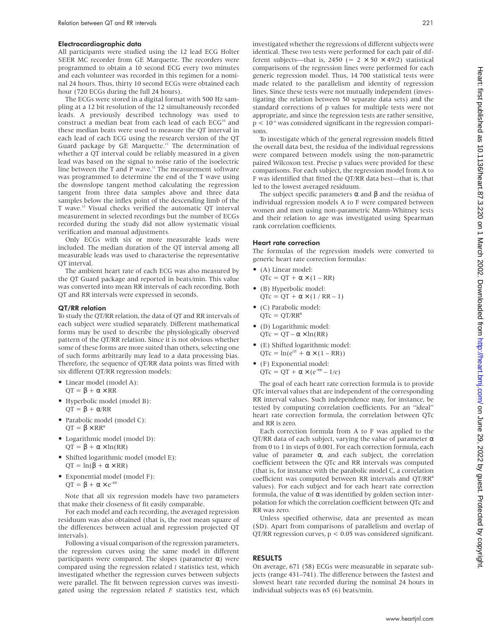#### Electrocardiographic data

All participants were studied using the 12 lead ECG Holter SEER MC recorder from GE Marquette. The recorders were programmed to obtain a 10 second ECG every two minutes and each volunteer was recorded in this regimen for a nominal 24 hours. Thus, thirty 10 second ECGs were obtained each hour (720 ECGs during the full 24 hours).

The ECGs were stored in a digital format with 500 Hz sampling at a 12 bit resolution of the 12 simultaneously recorded leads. A previously described technology was used to construct a median beat from each lead of each ECG<sup>10</sup> and these median beats were used to measure the QT interval in each lead of each ECG using the research version of the QT Guard package by GE Marquette.<sup>11</sup> The determination of whether a QT interval could be reliably measured in a given lead was based on the signal to noise ratio of the isoelectric line between the T and P wave.<sup>11</sup> The measurement software was programmed to determine the end of the T wave using the downslope tangent method calculating the regression tangent from three data samples above and three data samples below the inflex point of the descending limb of the T wave.12 Visual checks verified the automatic QT interval measurement in selected recordings but the number of ECGs recorded during the study did not allow systematic visual verification and manual adjustments.

Only ECGs with six or more measurable leads were included. The median duration of the QT interval among all measurable leads was used to characterise the representative QT interval.

The ambient heart rate of each ECG was also measured by the QT Guard package and reported in beats/min. This value was converted into mean RR intervals of each recording. Both QT and RR intervals were expressed in seconds.

#### QT/RR relation

To study the QT/RR relation, the data of QT and RR intervals of each subject were studied separately. Different mathematical forms may be used to describe the physiologically observed pattern of the QT/RR relation. Since it is not obvious whether some of these forms are more suited than others, selecting one of such forms arbitrarily may lead to a data processing bias. Therefore, the sequence of QT/RR data points was fitted with six different QT/RR regression models:

- Linear model (model A):  $QT = \beta + \alpha \times RR$
- Hyperbolic model (model B):  $QT = \beta + \alpha/RR$
- Parabolic model (model C):  $QT = \beta \times RR^{\alpha}$
- Logarithmic model (model D):  $\mathrm{QT} = \beta + \alpha \times \ln(\mathrm{RR})$
- Shifted logarithmic model (model E):  $QT = ln(\beta + \alpha \times RR)$
- Exponential model (model F):  $QT = \beta + \alpha \times e^{-RR}$

Note that all six regression models have two parameters that make their closeness of fit easily comparable.

For each model and each recording, the averaged regression residuum was also obtained (that is, the root mean square of the differences between actual and regression projected QT intervals).

Following a visual comparison of the regression parameters, the regression curves using the same model in different participants were compared. The slopes (parameter  $\alpha$ ) were compared using the regression related *t* statistics test, which investigated whether the regression curves between subjects were parallel. The fit between regression curves was investigated using the regression related *F* statistics test, which

investigated whether the regressions of different subjects were identical. These two tests were performed for each pair of different subjects—that is, 2450 (=  $2 \times 50 \times 49/2$ ) statistical comparisons of the regression lines were performed for each generic regression model. Thus, 14 700 statistical tests were made related to the parallelism and identity of regression lines. Since these tests were not mutually independent (investigating the relation between 50 separate data sets) and the standard corrections of p values for multiple tests were not appropriate, and since the regression tests are rather sensitive,  $p < 10^{-6}$  was considered significant in the regression comparisons.

To investigate which of the general regression models fitted the overall data best, the residua of the individual regressions were compared between models using the non-parametric paired Wilcoxon test. Precise p values were provided for these comparisons. For each subject, the regression model from A to F was identified that fitted the QT/RR data best—that is, that led to the lowest averaged residuum.

The subject specific parameters  $\alpha$  and  $\beta$  and the residua of individual regression models A to F were compared between women and men using non-parametric Mann-Whitney tests and their relation to age was investigated using Spearman rank correlation coefficients.

#### Heart rate correction

The formulas of the regression models were converted to generic heart rate correction formulas:

- (A) Linear model:  $QTC = QT + \alpha \times (1 - RR)$
- (B) Hyperbolic model:  $QTC = QT + \alpha \times (1 / RR - 1)$
- (C) Parabolic model:  $QTc = QT/RR^{\alpha}$
- (D) Logarithmic model:  $QTc = QT - \alpha \times ln(RR)$
- (E) Shifted logarithmic model:  $QTc = ln(e^{QT} + \alpha \times (1 - RR))$
- (F) Exponential model:  $QTC = QT + \alpha \times (e^{-RR} - 1/e)$

The goal of each heart rate correction formula is to provide QTc interval values that are independent of the corresponding RR interval values. Such independence may, for instance, be tested by computing correlation coefficients. For an "ideal" heart rate correction formula, the correlation between QTc and RR is zero.

Each correction formula from A to F was applied to the QT/RR data of each subject, varying the value of parameter α from 0 to 1 in steps of 0.001. For each correction formula, each value of parameter α, and each subject, the correlation coefficient between the QTc and RR intervals was computed (that is, for instance with the parabolic model C, a correlation coefficient was computed between RR intervals and  $QT/RR^{\alpha}$ values). For each subject and for each heart rate correction formula, the value of  $\alpha$  was identified by golden section interpolation for which the correlation coefficient between QTc and RR was zero.

Unless specified otherwise, data are presented as mean (SD). Apart from comparisons of parallelism and overlap of QT/RR regression curves, p < 0.05 was considered significant.

#### RESULTS

On average, 671 (58) ECGs were measurable in separate subjects (range 431–741). The difference between the fastest and slowest heart rate recorded during the nominal 24 hours in individual subjects was 65 (6) beats/min.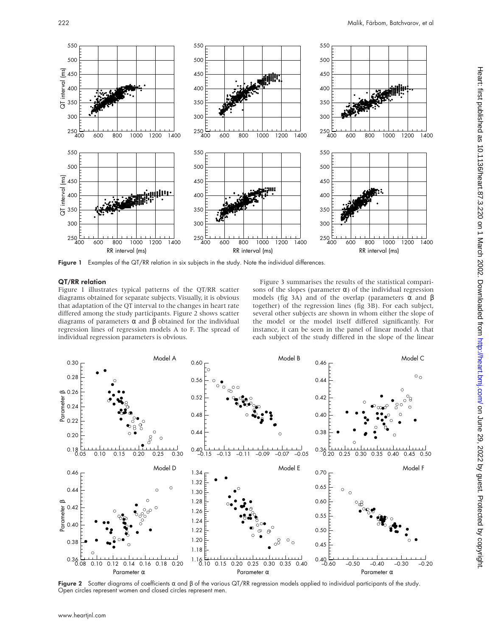

Figure 1 Examples of the QT/RR relation in six subjects in the study. Note the individual differences.

#### QT/RR relation

Figure 1 illustrates typical patterns of the QT/RR scatter diagrams obtained for separate subjects. Visually, it is obvious that adaptation of the QT interval to the changes in heart rate differed among the study participants. Figure 2 shows scatter diagrams of parameters  $\alpha$  and  $\beta$  obtained for the individual regression lines of regression models A to F. The spread of individual regression parameters is obvious.

Figure 3 summarises the results of the statistical comparisons of the slopes (parameter  $\alpha$ ) of the individual regression models (fig 3A) and of the overlap (parameters  $\alpha$  and  $\beta$ together) of the regression lines (fig 3B). For each subject, several other subjects are shown in whom either the slope of the model or the model itself differed significantly. For instance, it can be seen in the panel of linear model A that each subject of the study differed in the slope of the linear



**Figure 2** Scatter diagrams of coefficients α and β of the various QT/RR regression models applied to individual participants of the study.<br>Open circles represent women and closed circles represent men.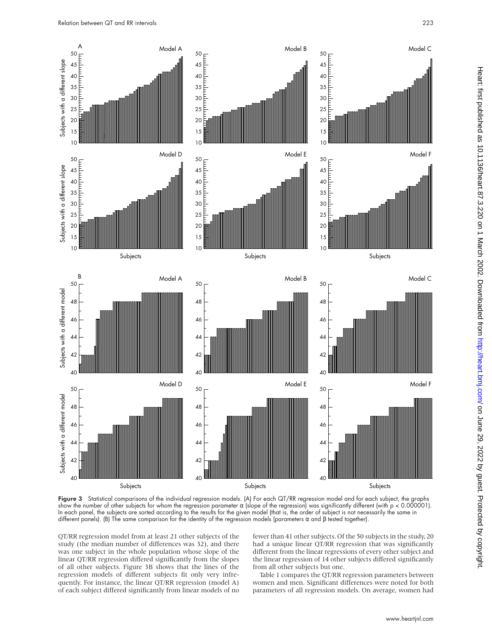

Figure 3 Statistical comparisons of the individual regression models. (A) For each QT/RR regression model and for each subject, the graphs show the number of other subjects for whom the regression parameter  $α$  (slope of the regression) was significantly different (with  $p < 0.000001$ ). In each panel, the subjects are sorted according to the results for the given model (that is, the order of subject is not necessarily the same in different panels). (B) The same comparison for the identity of the regression models (parameters α and β tested together).

QT/RR regression model from at least 21 other subjects of the study (the median number of differences was 32), and there was one subject in the whole population whose slope of the linear QT/RR regression differed significantly from the slopes of all other subjects. Figure 3B shows that the lines of the regression models of different subjects fit only very infrequently. For instance, the linear QT/RR regression (model A) of each subject differed significantly from linear models of no

fewer than 41 other subjects. Of the 50 subjects in the study, 20 had a unique linear QT/RR regression that was significantly different from the linear regressions of every other subject and the linear regression of 14 other subjects differed significantly from all other subjects but one.

Table 1 compares the QT/RR regression parameters between women and men. Significant differences were noted for both parameters of all regression models. On average, women had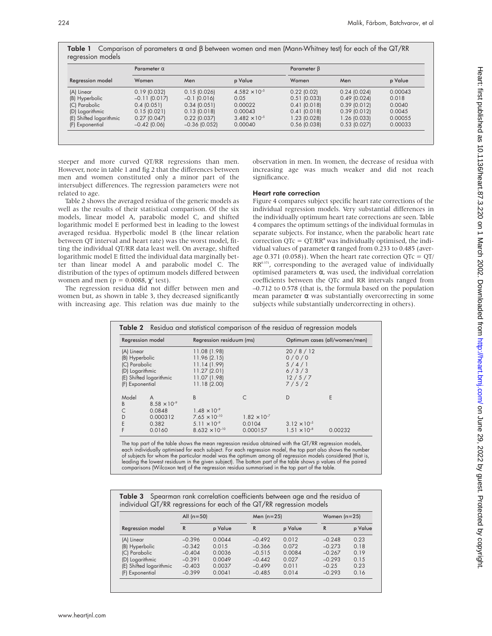|                         | Parameter $\alpha$ |                 |                        | Parameter B    |                |         |  |
|-------------------------|--------------------|-----------------|------------------------|----------------|----------------|---------|--|
| Regression model        | Women              | Men             | p Value                | Women          | Men            | p Value |  |
| (A) Linear              | $0.19$ (0.032)     | 0.15(0.026)     | $4.582 \times 10^{-5}$ | $0.22$ (0.02)  | $0.24$ (0.024) | 0.00043 |  |
| (B) Hyperbolic          | $-0.11(0.017)$     | $-0.1$ (0.016)  | 0.05                   | $0.51$ (0.033) | 0.49(0.024)    | 0.018   |  |
| (C) Parabolic           | 0.4(0.051)         | 0.34(0.051)     | 0.00022                | 0.41(0.018)    | 0.39(0.012)    | 0.0040  |  |
| (D) Logarithmic         | 0.15(0.021)        | 0.13(0.018)     | 0.00043                | 0.41(0.018)    | 0.39(0.012)    | 0.0045  |  |
| (E) Shifted logarithmic | $0.27$ (0.047)     | $0.22$ (0.037)  | $3.482 \times 10^{-5}$ | 1.23 (0.028)   | 1.26 (0.033)   | 0.00055 |  |
| (F) Exponential         | $-0.42$ (0.06)     | $-0.36$ (0.052) | 0.00040                | $0.56$ (0.038) | $0.53$ (0.027) | 0.00033 |  |

**Table 1** Comparison of parameters  $\alpha$  and  $\beta$  between women and men (Mann-Whitney test) for each of the QT/RR

steeper and more curved QT/RR regressions than men. However, note in table 1 and fig 2 that the differences between men and women constituted only a minor part of the intersubject differences. The regression parameters were not related to age.

Table 2 shows the averaged residua of the generic models as well as the results of their statistical comparison. Of the six models, linear model A, parabolic model C, and shifted logarithmic model E performed best in leading to the lowest averaged residua. Hyperbolic model B (the linear relation between QT interval and heart rate) was the worst model, fitting the individual QT/RR data least well. On average, shifted logarithmic model E fitted the individual data marginally better than linear model A and parabolic model C. The distribution of the types of optimum models differed between women and men ( $p = 0.0088$ ,  $\chi^2$  test).

The regression residua did not differ between men and women but, as shown in table 3, they decreased significantly with increasing age. This relation was due mainly to the observation in men. In women, the decrease of residua with increasing age was much weaker and did not reach significance.

#### Heart rate correction

Figure 4 compares subject specific heart rate corrections of the individual regression models. Very substantial differences in the individually optimum heart rate corrections are seen. Table 4 compares the optimum settings of the individual formulas in separate subjects. For instance, when the parabolic heart rate correction  $QTc = QT/RR^{\alpha}$  was individually optimised, the individual values of parameter α ranged from 0.233 to 0.485 (average 0.371 (0.058)). When the heart rate correction  $QTc = QT/$  $RR<sup>0.371</sup>$ , corresponding to the averaged value of individually optimised parameters α, was used, the individual correlation coefficients between the QTc and RR intervals ranged from –0.712 to 0.578 (that is, the formula based on the population mean parameter  $\alpha$  was substantially overcorrecting in some subjects while substantially undercorrecting in others).

| Table 2 Residua and statistical comparison of the residua of regression models |                         |                          |                       |                               |         |  |  |
|--------------------------------------------------------------------------------|-------------------------|--------------------------|-----------------------|-------------------------------|---------|--|--|
| Regression model                                                               |                         | Regression residuum (ms) |                       | Optimum cases (all/women/men) |         |  |  |
| (A) Linear                                                                     |                         | 11.08 (1.98)             |                       | 20/8/12                       |         |  |  |
| (B) Hyperbolic                                                                 |                         | 11.96 (2.15)             |                       | 0/0/0                         |         |  |  |
| (C) Parabolic                                                                  |                         | 11.14 (1.99)             |                       | 5/4/1                         |         |  |  |
| (D) Logarithmic                                                                |                         | 11.27(2.01)              |                       | 6/3/3                         |         |  |  |
|                                                                                | (E) Shifted logarithmic | 11.07 (1.98)             |                       | 12/5/7                        |         |  |  |
| (F) Exponential                                                                |                         | 11.18 (2.00)             |                       | 7/5/2                         |         |  |  |
| Model                                                                          | A                       | B                        |                       | D                             | E       |  |  |
| B                                                                              | $8.58 \times 10^{-9}$   |                          |                       |                               |         |  |  |
|                                                                                | 0.0848                  | $1.48 \times 10^{-9}$    |                       |                               |         |  |  |
| D                                                                              | 0.000312                | $7.65 \times 10^{-10}$   | $1.82 \times 10^{-7}$ |                               |         |  |  |
| E                                                                              | 0.382                   | $5.11 \times 10^{-9}$    | 0.0104                | $3.12 \times 10^{-5}$         |         |  |  |
|                                                                                | 0.0160                  | $8.632 \times 10^{-10}$  | 0.000157              | $1.51 \times 10^{-8}$         | 0.00232 |  |  |

The top part of the table shows the mean regression residua obtained with the QT/RR regression models, each individually optimised for each subject. For each regression model, the top part also shows the number of subjects for whom the particular model was the optimum among all regression models considered (that is, leading the lowest residuum in the given subject). The bottom part of the table shows p values of the paired comparisons (Wilcoxon test) of the regression residua summarised in the top part of the table.

Table 3 Spearman rank correlation coefficients between age and the residua of individual QT/RR regressions for each of the QT/RR regression models

|                         | All $(n=50)$ |         | Men $(n=25)$ |         | Women $(n=25)$ |         |
|-------------------------|--------------|---------|--------------|---------|----------------|---------|
| Regression model        | R            | p Value | R            | p Value | R              | p Value |
| (A) Linear              | $-0.396$     | 0.0044  | $-0.492$     | 0.012   | $-0.248$       | 0.23    |
| (B) Hyperbolic          | $-0.342$     | 0.015   | $-0.366$     | 0.072   | $-0.273$       | 0.18    |
| (C) Parabolic           | $-0.404$     | 0.0036  | $-0.515$     | 0.0084  | $-0.267$       | 0.19    |
| (D) Logarithmic         | $-0.391$     | 0.0049  | $-0.442$     | 0.027   | $-0.293$       | 0.15    |
| (E) Shifted logarithmic | $-0.403$     | 0.0037  | $-0.499$     | 0.011   | $-0.25$        | 0.23    |
| (F) Exponential         | $-0.399$     | 0.0041  | $-0.485$     | 0.014   | $-0.293$       | 0.16    |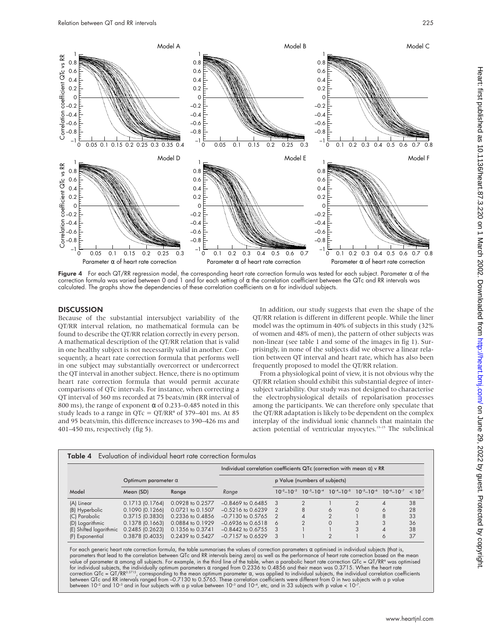

Figure 4 For each QT/RR regression model, the corresponding heart rate correction formula was tested for each subject. Parameter  $\alpha$  of the correction formula was varied between 0 and 1 and for each setting of α the correlation coefficient between the QTc and RR intervals was

#### **DISCUSSION**

Because of the substantial intersubject variability of the QT/RR interval relation, no mathematical formula can be found to describe the QT/RR relation correctly in every person. A mathematical description of the QT/RR relation that is valid in one healthy subject is not necessarily valid in another. Consequently, a heart rate correction formula that performs well in one subject may substantially overcorrect or undercorrect the QT interval in another subject. Hence, there is no optimum heart rate correction formula that would permit accurate comparisons of QTc intervals. For instance, when correcting a QT interval of 360 ms recorded at 75 beats/min (RR interval of 800 ms), the range of exponent  $\alpha$  of 0.233–0.485 noted in this study leads to a range in  $QTc = QT/RR^{\alpha}$  of 379–401 ms. At 85 and 95 beats/min, this difference increases to 390–426 ms and 401–450 ms, respectively (fig 5).

In addition, our study suggests that even the shape of the QT/RR relation is different in different people. While the liner model was the optimum in 40% of subjects in this study (32% of women and 48% of men), the pattern of other subjects was non-linear (see table 1 and some of the images in fig 1). Surprisingly, in none of the subjects did we observe a linear relation between QT interval and heart rate, which has also been frequently proposed to model the QT/RR relation.

From a physiological point of view, it is not obvious why the QT/RR relation should exhibit this substantial degree of intersubject variability. Our study was not designed to characterise the electrophysiological details of repolarisation processes among the participants. We can therefore only speculate that the QT/RR adaptation is likely to be dependent on the complex interplay of the individual ionic channels that maintain the action potential of ventricular myocytes.<sup>13-15</sup> The subclinical

|                            |                     |                  | Individual correlation coefficients QTc (correction with mean $\alpha$ ) v RR |                               |                |                |                                                                                 |   |             |
|----------------------------|---------------------|------------------|-------------------------------------------------------------------------------|-------------------------------|----------------|----------------|---------------------------------------------------------------------------------|---|-------------|
| Optimum parameter $\alpha$ |                     |                  |                                                                               | p Value (numbers of subjects) |                |                |                                                                                 |   |             |
| Model                      | Mean (SD)           | Range            | Range                                                                         | $10^{-2} - 10^{-3}$           |                |                | $10^{-3} - 10^{-4}$ $10^{-4} - 10^{-5}$ $10^{-5} - 10^{-6}$ $10^{-6} - 10^{-7}$ |   | $< 10^{-7}$ |
| (A) Linear                 | $0.1713$ $(0.1764)$ | 0.0928 to 0.2577 | $-0.8469$ to 0.6485                                                           | $\cdot$ 3                     | $\overline{2}$ |                | $\overline{2}$                                                                  | 4 | 38          |
| (B) Hyperbolic             | $0.1090$ $(0.1266)$ | 0.0721 to 0.1507 | $-0.5216$ to 0.6239                                                           |                               | 8              | 6              | $\Omega$                                                                        | 6 | 28          |
| (C) Parabolic              | $0.3715$ $(0.3830)$ | 0.2336 to 0.4856 | $-0.7130$ to 0.5765                                                           | $\overline{2}$                |                | $\overline{2}$ |                                                                                 | 8 | 33          |
| (D) Logarithmic            | $0.1378$ $(0.1663)$ | 0.0884 to 0.1929 | $-0.6936$ to $0.6518$                                                         | 6                             | $\Omega$       | $\Omega$       | 3                                                                               | 3 | 36          |
| (E) Shifted logarithmic    | $0.2485$ $(0.2623)$ | 0.1356 to 0.3741 | $-0.8442$ to 0.6755                                                           | $\mathcal{R}$                 |                |                | 3                                                                               | 4 | 38          |
| (F) Exponential            | 0.3878 (0.4035)     | 0.2439 to 0.5427 | $-0.7157$ to 0.6529                                                           | $\cdot$ 3                     |                |                |                                                                                 | 6 | 37          |

For each generic heart rate correction formula, the table summarises the values of correction parameters α optimised in individual subjects (that is,<br>parameters that lead to the correlation between QTc and RR intervals be for individual subjects, the individually optimum parameters α ranged from 0.2336 to 0.4856 and their mean was 0.3715. When the heart rate<br>correction QTc = QT/RRº3715, corresponding to the mean optimum parameter α, was ap between QTc and RR intervals ranged trom –0.7130 to 0.5765. These correlation coefficients were different trom 0 in two subjects with a p value<br>between 10<sup>-2</sup> and 10<sup>-3</sup> and in four subjects with a p value between 10<sup>-3</sup> a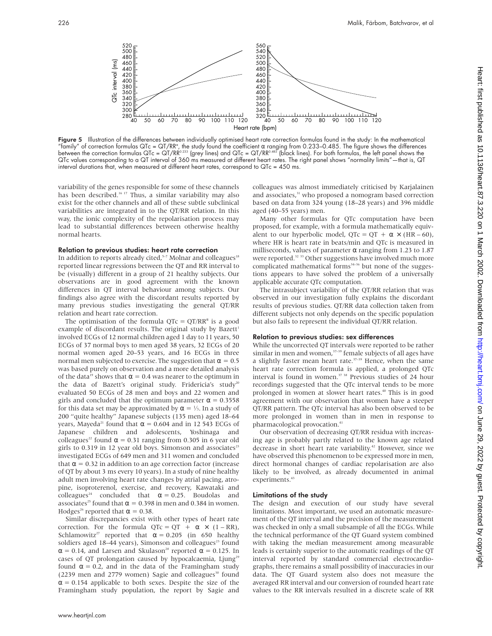

Figure 5 Illustration of the differences between individually optimised heart rate correction formulas found in the study: In the mathematical "family" of correction formulas QTc = QT/RRª, the study found the coefficient α ranging from 0.233–0.485. The figure shows the differences between the correction formulas QTc = QT/RR<sup>0.233</sup> (grey lines) and QTc = QT/RR<sup>0.485</sup> (black lines). For both formulas, the left panel shows the QTc values corresponding to a QT interval of 360 ms measured at different heart rates. The right panel shows "normality limits"—that is, QT interval durations that, when measured at different heart rates, correspond to QTc = 450 ms.

variability of the genes responsible for some of these channels has been described.<sup>16-17</sup> Thus, a similar variability may also exist for the other channels and all of these subtle subclinical variabilities are integrated in to the QT/RR relation. In this way, the ionic complexity of the repolarisation process may lead to substantial differences between otherwise healthy normal hearts.

#### Relation to previous studies: heart rate correction

In addition to reports already cited, $5-7$  Molnar and colleagues<sup>18</sup> reported linear regressions between the QT and RR interval to be (visually) different in a group of 21 healthy subjects. Our observations are in good agreement with the known differences in QT interval behaviour among subjects. Our findings also agree with the discordant results reported by many previous studies investigating the general QT/RR relation and heart rate correction.

The optimisation of the formula  $QTc = QT/RR^{\alpha}$  is a good example of discordant results. The original study by Bazett<sup>1</sup> involved ECGs of 12 normal children aged 1 day to 11 years, 50 ECGs of 37 normal boys to men aged 38 years, 32 ECGs of 20 normal women aged 20–53 years, and 16 ECGs in three normal men subjected to exercise. The suggestion that  $α = 0.5$ was based purely on observation and a more detailed analysis of the data<sup>19</sup> shows that  $\alpha = 0.4$  was nearer to the optimum in the data of Bazett's original study. Fridericia's study<sup>20</sup> evaluated 50 ECGs of 28 men and boys and 22 women and girls and concluded that the optimum parameter  $\alpha = 0.3558$ for this data set may be approximated by  $\alpha = \frac{1}{3}$ . In a study of 200 "quite healthy" Japanese subjects (135 men) aged 18–64 years, Mayeda<sup>21</sup> found that  $\alpha = 0.604$  and in 12 543 ECGs of Japanese children and adolescents, Yoshinaga and colleagues<sup>22</sup> found  $\alpha$  = 0.31 ranging from 0.305 in 6 year old girls to  $0.319$  in 12 year old boys. Simonson and associates<sup>23</sup> investigated ECGs of 649 men and 311 women and concluded that  $\alpha$  = 0.32 in addition to an age correction factor (increase of QT by about 3 ms every 10 years). In a study of nine healthy adult men involving heart rate changes by atrial pacing, atropine, isoproterenol, exercise, and recovery, Kawataki and colleagues<sup>24</sup> concluded that  $\alpha = 0.25$ . Boudolas and associates<sup>25</sup> found that  $\alpha = 0.398$  in men and 0.384 in women. Hodges<sup>26</sup> reported that  $\alpha = 0.38$ .

Similar discrepancies exist with other types of heart rate correction. For the formula  $QTC = QT + \alpha \times (1 - RR)$ , Schlamowitz<sup>27</sup> reported that  $\alpha = 0.205$  (in 650 healthy soldiers aged 18–44 years), Simonson and colleagues<sup>23</sup> found  $\alpha$  = 0.14, and Larsen and Skulason<sup>28</sup> reported  $\alpha$  = 0.125. In cases of QT prolongation caused by hypocalcaemia, Ljung<sup>29</sup> found  $\alpha = 0.2$ , and in the data of the Framingham study (2239 men and 2779 women) Sagie and colleagues<sup>30</sup> found  $\alpha$  = 0.154 applicable to both sexes. Despite the size of the Framingham study population, the report by Sagie and

colleagues was almost immediately criticised by Karjalainen and associates,<sup>31</sup> who proposed a nomogram based correction based on data from 324 young (18–28 years) and 396 middle aged (40–55 years) men.

Many other formulas for QTc computation have been proposed, for example, with a formula mathematically equivalent to our hyperbolic model,  $QTc = QT + \alpha \times (HR - 60)$ , where HR is heart rate in beats/min and QTc is measured in milliseconds, values of parameter  $\alpha$  ranging from 1.23 to 1.87 were reported.<sup>32</sup> <sup>33</sup> Other suggestions have involved much more complicated mathematical forms $34-36$  but none of the suggestions appears to have solved the problem of a universally applicable accurate QTc computation.

The intrasubject variability of the QT/RR relation that was observed in our investigation fully explains the discordant results of previous studies. QT/RR data collection taken from different subjects not only depends on the specific population but also fails to represent the individual QT/RR relation.

#### Relation to previous studies: sex differences

While the uncorrected QT intervals were reported to be rather similar in men and women,  $37-39$  female subjects of all ages have a slightly faster mean heart rate.<sup>37-39</sup> Hence, when the same heart rate correction formula is applied, a prolonged QTc interval is found in women.<sup>37 38</sup> Previous studies of  $24$  hour recordings suggested that the QTc interval tends to be more prolonged in women at slower heart rates.<sup>40</sup> This is in good agreement with our observation that women have a steeper QT/RR pattern. The QTc interval has also been observed to be more prolonged in women than in men in response to pharmacological provocation.<sup>41</sup>

Our observation of decreasing QT/RR residua with increasing age is probably partly related to the known age related decrease in short heart rate variability.<sup>42</sup> However, since we have observed this phenomenon to be expressed more in men, direct hormonal changes of cardiac repolarisation are also likely to be involved, as already documented in animal experiments.<sup>43</sup>

#### Limitations of the study

The design and execution of our study have several limitations. Most important, we used an automatic measurement of the QT interval and the precision of the measurement was checked in only a small subsample of all the ECGs. While the technical performance of the QT Guard system combined with taking the median measurement among measurable leads is certainly superior to the automatic readings of the QT interval reported by standard commercial electrocardiographs, there remains a small possibility of inaccuracies in our data. The QT Guard system also does not measure the averaged RR interval and our conversion of rounded heart rate values to the RR intervals resulted in a discrete scale of RR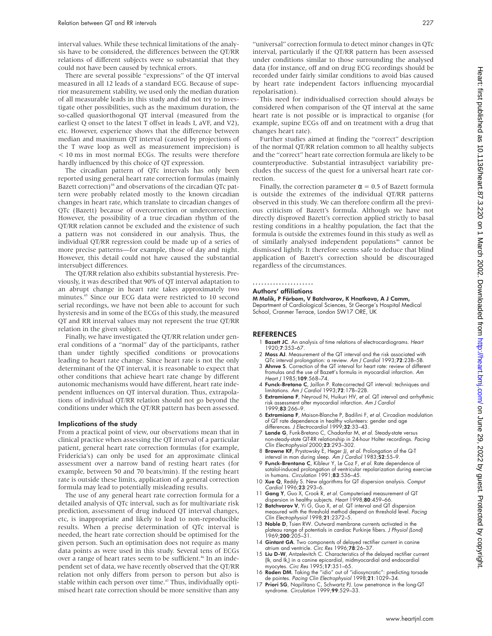interval values. While these technical limitations of the analysis have to be considered, the differences between the QT/RR relations of different subjects were so substantial that they could not have been caused by technical errors.

There are several possible "expressions" of the QT interval measured in all 12 leads of a standard ECG. Because of superior measurement stability, we used only the median duration of all measurable leads in this study and did not try to investigate other possibilities, such as the maximum duration, the so-called quasiorthogonal QT interval (measured from the earliest Q onset to the latest T offset in leads I, aVF, and V2), etc. However, experience shows that the difference between median and maximum QT interval (caused by projections of the T wave loop as well as measurement imprecision) is < 10 ms in most normal ECGs. The results were therefore hardly influenced by this choice of QT expression.

The circadian pattern of QTc intervals has only been reported using general heart rate correction formulas (mainly Bazett correction)<sup>44</sup> and observations of the circadian QTc pattern were probably related mostly to the known circadian changes in heart rate, which translate to circadian changes of QTc (Bazett) because of overcorrection or undercorrection. However, the possibility of a true circadian rhythm of the QT/RR relation cannot be excluded and the existence of such a pattern was not considered in our analysis. Thus, the individual QT/RR regression could be made up of a series of more precise patterns—for example, those of day and night. However, this detail could not have caused the substantial intersubject differences.

The QT/RR relation also exhibits substantial hysteresis. Previously, it was described that 90% of QT interval adaptation to an abrupt change in heart rate takes approximately two minutes.45 Since our ECG data were restricted to 10 second serial recordings, we have not been able to account for such hysteresis and in some of the ECGs of this study, the measured QT and RR interval values may not represent the true QT/RR relation in the given subject.

Finally, we have investigated the QT/RR relation under general conditions of a "normal" day of the participants, rather than under tightly specified conditions or provocations leading to heart rate change. Since heart rate is not the only determinant of the QT interval, it is reasonable to expect that other conditions that achieve heart rate change by different autonomic mechanisms would have different, heart rate independent influences on QT interval duration. Thus, extrapolations of individual QT/RR relation should not go beyond the conditions under which the QT/RR pattern has been assessed.

#### Implications of the study

From a practical point of view, our observations mean that in clinical practice when assessing the QT interval of a particular patient, general heart rate correction formulas (for example, Fridericia's) can only be used for an approximate clinical assessment over a narrow band of resting heart rates (for example, between 50 and 70 beats/min). If the resting heart rate is outside these limits, application of a general correction formula may lead to potentially misleading results.

The use of any general heart rate correction formula for a detailed analysis of QTc interval, such as for multivariate risk prediction, assessment of drug induced QT interval changes, etc, is inappropriate and likely to lead to non-reproducible results. When a precise determination of QTc interval is needed, the heart rate correction should be optimised for the given person. Such an optimisation does not require as many data points as were used in this study. Several tens of ECGs over a range of heart rates seem to be sufficient.<sup>46</sup> In an independent set of data, we have recently observed that the QT/RR relation not only differs from person to person but also is stable within each person over time.<sup>47</sup> Thus, individually optimised heart rate correction should be more sensitive than any

"universal" correction formula to detect minor changes in QTc interval, particularly if the QT/RR pattern has been assessed under conditions similar to those surrounding the analysed data (for instance, off and on drug ECG recordings should be recorded under fairly similar conditions to avoid bias caused by heart rate independent factors influencing myocardial repolarisation).

This need for individualised correction should always be considered when comparison of the QT interval at the same heart rate is not possible or is impractical to organise (for example, supine ECGs off and on treatment with a drug that changes heart rate).

Further studies aimed at finding the "correct" description of the normal QT/RR relation common to all healthy subjects and the "correct" heart rate correction formula are likely to be counterproductive. Substantial intrasubject variability precludes the success of the quest for a universal heart rate correction.

Finally, the correction parameter  $\alpha = 0.5$  of Bazett formula is outside the extremes of the individual QT/RR patterns observed in this study. We can therefore confirm all the previous criticism of Bazett's formula. Although we have not directly disproved Bazett's correction applied strictly to basal resting conditions in a healthy population, the fact that the formula is outside the extremes found in this study as well as of similarly analysed independent populations<sup>46</sup> cannot be dismissed lightly. It therefore seems safe to deduce that blind application of Bazett's correction should be discouraged regardless of the circumstances.

#### .....................

#### Authors' affiliations

M Malik, P Färbom, V Batchvarov, K Hnatkova, A J Camm, Department of Cardiological Sciences, St George's Hospital Medical School, Cranmer Terrace, London SW17 ORE, UK

#### **REFERENCES**

- 1 Bazett JC. An analysis of time relations of electrocardiograms. Heart 1920;7:353–67.
- 2 Moss AJ. Measurement of the QT interval and the risk associated with QTc interval prolongation: a review. Am J Cardiol 1993;72:23B–5B.
- 3 Ahnve S. Correction of the QT interval for heart rate: review of different fromulas and the use of Bazett's formula in myocardial infarction. Am Heart J 1985;109:568–74.
- 4 Funck-Bretano C, Jaillon P. Rate-corrected QT interval: techniques and limitations. Am J Cardiol 1993;72:17B–22B.
- 5 Extramiana F, Neyroud N, Huikuri HV, et al. QT interval and arrhythmic risk assessment after myocardial infarction. Am J Cardiol 1999;83:266–9.
- 6 Extramiana F, Maison-Blanche P, Badilini F, et al. Circadian modulation of QT rate dependence in healthy volunteers: gender and age<br>differences. *J Electrocardiol* 1999;**32**:33–43.
- 7 Lande G, Funk-Bretano C, Chadanfar M, et al. Steady-state versus non-steady-state QT-RR relationship in 24-hour Holter recordings. Pacing Clin Electrophysiol 2000;23:293-302.
- 8 Browne KF, Prystowsky E, Heger JJ, et al. Prolongation of the Q-T interval in man during sleep. Am J Cardiol 1983;52:55–9.
- 9 Funck-Brentano C, Kibleur Y, Le Coz F, et al. Rate dependence of sotalol-induced prolongation of ventricular repolarization during exercise in humans. Circulation 1991;83:536-45.
- 10 Xue Q, Reddy S. New algorithms for QT dispersion analysis. Comput Cardiol 1996;23:293-6.
- 11 Gang Y, Guo X, Crook R, et al. Computerised measurement of QT dispersion in healthy subjects. Heart 1998;80:459–66.
- 12 Batchvarov V, Yi G, Guo X, et al. QT interval and QT dispersion measured with the threshold method depend on threshold level. Pacing Clin Electrophysiol 1998;21:2372–5.
- 13 Noble D, Tsien RW. Outward membrane currents activated in the plateau range of potentials in cardiac Purkinje fibers. J Physiol (Lond) .1969;**200**:205–31
- 14 Gintant GA. Two components of delayed rectifier current in canine
- atrium and ventricle. Circ Res 1996;78:26–37. 15 Liu D-W, Antzelevitch C. Characteristics of the delayed rectifier current (Ikr and Iks) in a canine epicardial, midmyocardial and endocardial myocytes. Circ Res 1995;17:351–65.
- 16 Roden DM. Taking the "idio" out of "idiosyncratic": predicting torsade de pointes. Pacing Clin Electrophysiol 1998;21:1029–34.
- 17 Priori SG, Napilitano C, Schwartz PJ. Low penetrance in the long-QT syndrome. Circulation 1999;99:529–33.